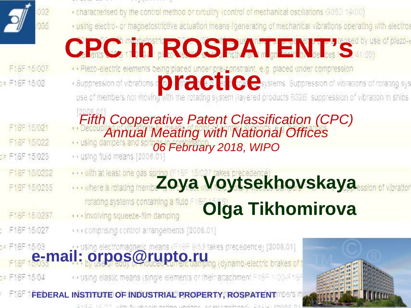

F16F 15/007 DR F16F 15/02

F16F 15/021 F16F 15/022 SF F16F 15/023 F16F 15/0232 F16F 15/0235

F16F 15/0237

F16F 15/027

DE F16F 15/04

- . characterised by the control method or circuitry (control of mechanical oscillations G05D 19/00)
- · using electro- or magnetostrictive actuation means (generating of mechanical vibrations operating with electron
- **CPC** in Function **ROSPATENT** Neglect C 4000)
- 
- **provides and the members of the set of the conducts** of the suppression of vibrations of rotating systems Suppression of vibrations of rotating systems and the recent of system (layered products BS2E suppression of vibrat
- *Fifth Cooperative Patent Classification (CPC) Annual Meating with National Offices*
- **1. using dampers and som 06 February 2018, WIPO**
- 
- 
- *Zoya Voytsekhovskaya Kaya* where a monotypic the second terms of vibration

rotating systems containing a fluid F **Olga Tikhomirova** ... involving squeeze-film damping

· · · comprising control arrangements [2006.01]

or F16F 15/03<br>F16F 15/03**Mail:** orpos@rupto.ru<br>F16F 15/03**Mail:** by useDi eddy of mouted current damping (dynamo-electric brakes of t

. vusing elastic means (single elements or their attachment FABF 1/00-F16F

**FEDERAL INSTITUTE OF INDUSTRIAL PROPERTY, ROSPATENTMERS M** 

EXEC 1E20 miles Rousselvanificationships and proportional CACULIANA

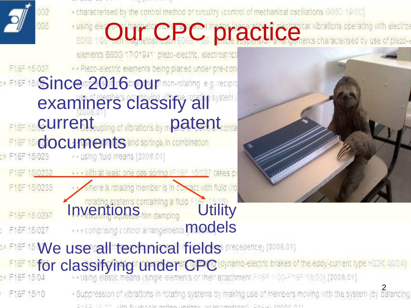- - . characterised by the control method or circultry (control of mechanical oscillations G05D 19/00)
- **FOR A PC practice and Centre Constitutions operating with electrons on the property of the section of prezent** elements B60G 17/01941 plezo-electric, electrostrict · · Piezo-electric elements being placed under pre-con F16F 15/007  $\bullet$  F16F 15  $\bullet$  ince  $2016$  our non-mixing e.g. seep of examiners classify all **F16F15/CUrrent** outpiling of vibrations by m**patent** conta **F16F16/COCUMPENts** and springs in combination
- 
- with at least one cas spring (F16F 15/027 takes p) F16F 15/0232
	- where a rotating member is in contact with fluid (ro F16F15/0235
- Inventions containing a fluid Fig. Utility F16F 15/0237 **...** comprising control arrangements **models** F16F 15/027



- DE F16F 15 We use all technical fields precedence, [2008.01] F16F15 **for classifying under CPC** (dynamo-electric brakes of the eddy-current type H02K 49/04)<br>br F16F15/04 **Classic** means (single elements or their attachment F08F100-F16F13.00) [2006.01]
- · Suppression of vibrations in rotating systems by making use of members moving with the system (by balancing F16F 15/10 CHEC LEOD JIM REVARIANO CONTACTO CONTACTO CONTACTO CAELLING COL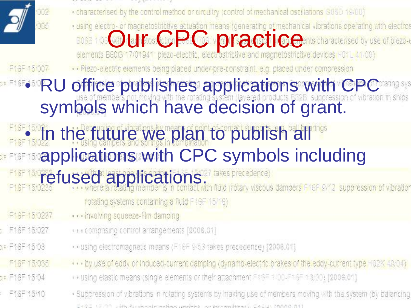

F16F 15/0237

F16F 15/027

Die F16F 15/03

F16F 15/035

DF F16F 15/04

F16F 15/10

- - . characterised by the control method or circultry (control of mechanical oscillations G05D 19/00)
	- Fusing electro- or magnetostrictive actuation means (generating of mechanical vibrations operating with electron<br>BDGB 1.06 (d) La Ffos Crip DCC vibratic precision of CBC pents characterised by use of plezoharacterised by use of plezo-i

· · Piezo-electric elements being placed under pre-constraint, e.g. placed under compression

#### • RU office publishes applications with CPC symbols which have decision of grant.

# F16F380 In the future we plan to publish all hes **applications with CPC symbols including**

F16F 15/0233 **fused applications.**<br>F16F 15/0233 **fused and any member is in contact with fluid (rotary viscous dampers F16F 9/12 suppression of vibration** 

- rotating systems containing a fluid F16F 15/16)
- . . . involving squeeze-film damping
- · · · comprising control arrangements [2006.01]
- . vusing electromagnetic means (F16F 9/63 takes precedence) [2006.01]
- ... by use of eddy or induced-current damping (dynamo-electric brakes of the eddy-current type H02K 49/04)
- . vusing elastic means (single elements or their attachment FABE 1/00-F18F 18/00) [2006.01]
- · Suppression of vibrations in rotating systems by making use of members moving with the system (by balancing 同社会国 (同2010 - 2016年 Banade Alexandre Alexandre Second Alexandre Alexandre Carl Library 1000 - 0000 -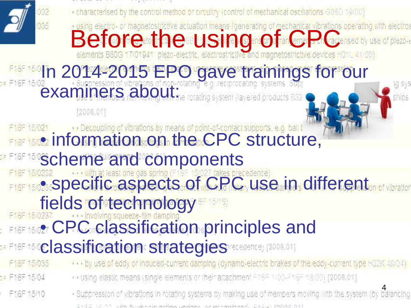|               | 002 | . characterised by the control method or circuitry (control of mechanical oscillations G05D 19/00)                                                                                                                               |
|---------------|-----|----------------------------------------------------------------------------------------------------------------------------------------------------------------------------------------------------------------------------------|
|               | 005 |                                                                                                                                                                                                                                  |
|               |     |                                                                                                                                                                                                                                  |
|               |     | using electro- or magnetostrictive actuation means (generating of mechanical vibrations operating with electros<br>Before to the store in Bing of the Contract of the Contract of the Contract of the store of plezo-the devices |
|               |     |                                                                                                                                                                                                                                  |
|               |     |                                                                                                                                                                                                                                  |
|               |     | <b>F16F150<sup>1</sup>n 2014-2015 EPO gave trainings for our</b>                                                                                                                                                                 |
|               |     | [2006.01]                                                                                                                                                                                                                        |
|               |     |                                                                                                                                                                                                                                  |
|               |     | F16F 15/021 Decoupling of vibrations by means of point-of-contact supports, e.g. ball I                                                                                                                                          |
|               |     |                                                                                                                                                                                                                                  |
|               |     | <b>EFFIRE IS Scheme and components</b>                                                                                                                                                                                           |
|               |     |                                                                                                                                                                                                                                  |
|               |     | F16F 15/0232<br>F16F 15/0235Specific aspects of CPC use in different                                                                                                                                                             |
|               |     | fields of technology                                                                                                                                                                                                             |
|               |     |                                                                                                                                                                                                                                  |
|               |     | <b>FILE 15/0237</b> CPC Classification principles and                                                                                                                                                                            |
|               |     | <b>DE F16F 150Classification strategies received [2006.01]</b>                                                                                                                                                                   |
|               |     |                                                                                                                                                                                                                                  |
| F16F 15/035   |     | by use of eddy or induced-current damping (dynamo-electric brakes of the eddy-current type H02K 49/04)                                                                                                                           |
| DE F16F 15/04 |     | . > using elastic means (single elements or their attachment FP8F 1/00-F18F 18/00) [2006.01]                                                                                                                                     |
| F16F15/10     |     | · Suppression of vibrations in rotating systems by making use of members moving with the system (by balancing                                                                                                                    |
|               |     |                                                                                                                                                                                                                                  |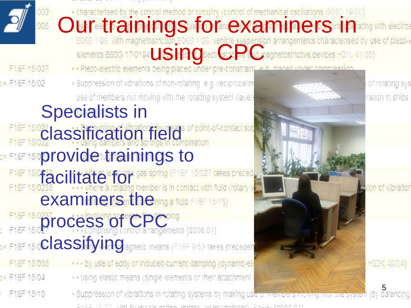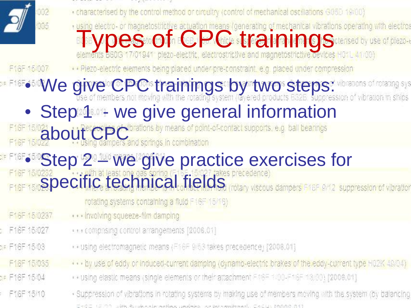

F16F 15/0237

F16F 15/027

Die F16F 15/03

F16F 15/035

DF F16F 15/04

F16F 15/10

- . characterised by the control method or circuitry (control of mechanical oscillations G05D 19/00)
- The Section of magnetostrictive actuation means (generating of mechanical vibrations operating with electron<br>elements B60G 17/01941 plezo-electric, electrostrictive and magnetostrictive devices H01L 41/00)

· Plezo-electric elements being placed under pre-constraint, e.g. placed under compression

• We give CPC trainings by two steps:

### • Step 1 - we give general information

F16F15/021 **bout** Percepcibrations by means or point-<br>F16F15/022 **bout** using dampers and springs in combination ations by means of point-of-contact supports, e.g. ball bearings

## **• Step 2 – we give practice exercises for**

F16F 15/0232 <sup>1</sup> with at least one gas spring (11) the case precedence)<br>F16F 15/0**S D e cific technical fields** (rotary viscous dampers F16F 9/12 suppression of vibration

rotating systems containing a fluid F16F 15/16).

- . . . involving squeeze-film damping
- · · · comprising control arrangements [2006.01]
- . » using electromagnetic means (F16F 9/53 takes precedence) [2006.01]
- ... by use of eddy or induced-current damping (dynamo-electric brakes of the eddy-current type H02K 49/04).
- . vusing elastic means (single elements or their attachment FRBF 1/00-F18F 18/00) [2006.01]
- · Suppression of vibrations in rotating systems by making use of members moving with the system (by balancing にその正 (このり、元代: Roose Aready worldware and Beau and Solomonic Social Co-Class Infinite の 11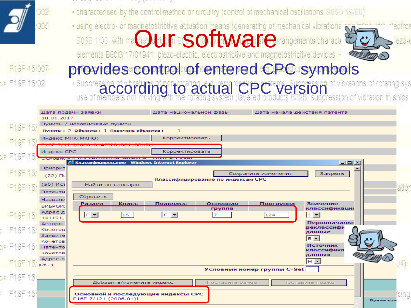

F16F 15/007 OF F16F 15/02

. characterised by the control method or circuitry (control of mechanical oscillations G05D 19/00)

Filippe dectro- or magnetostrictive actuation means (generating of mechanical vibrations



# provides control of entered CPC symbols

according to actual CPC version of vibrations of rotating systems of the actual CPC version of vibration in ships

|  |     | Дата подачи заявки<br>18.01.2017                                                                          |  | Дата национальной фазы                                                                    |                          |                                                        |                                   | Дата начала действия патента |                 |                                                                                             |           |      |
|--|-----|-----------------------------------------------------------------------------------------------------------|--|-------------------------------------------------------------------------------------------|--------------------------|--------------------------------------------------------|-----------------------------------|------------------------------|-----------------|---------------------------------------------------------------------------------------------|-----------|------|
|  |     |                                                                                                           |  | Пункты / независимые пункты<br>Пункты: 2 Объекты: 1 Перечень объектов:                    |                          | $\mathbf{1}$                                           |                                   |                              |                 |                                                                                             |           |      |
|  |     | Индекс МПК(МКПО)                                                                                          |  | <u> 1940 - Party de Para de la colona de la contece de la colona de la colona de la c</u> |                          | Корректировать                                         |                                   |                              |                 |                                                                                             |           |      |
|  |     | Индекс СРС                                                                                                |  |                                                                                           |                          | Корректировать                                         |                                   |                              |                 |                                                                                             |           |      |
|  |     |                                                                                                           |  |                                                                                           |                          | <b>C Классифицирование - Windows Internet Explorer</b> |                                   |                              |                 | $\Box$ o $\times$                                                                           |           |      |
|  | 157 | Приорит<br>$(22)$ $\prod$                                                                                 |  |                                                                                           |                          |                                                        | Классифицирование по индексам СРС | Сохранить изменения          |                 | Закрыть                                                                                     |           |      |
|  |     | $(56)$ $MC1$<br>Патентн                                                                                   |  | Найти по словарю                                                                          |                          |                                                        |                                   |                              |                 |                                                                                             |           | atio |
|  |     | Названи<br>ВИБРОИ:<br>Адрес д<br>141191,<br>Авторы<br>Кочетов<br>Заявите<br>Кочетов<br>Патенто<br>Кочетов |  | Сбросить<br>Раздел<br>$F_2$                                                               | <u>Класс</u><br> 16      | Подкласс<br>$F \nightharpoonup$                        | Основная<br>группа<br>17          | Подгруппа<br>124             | $ I -$<br>$B -$ | Значение<br>классификации<br>Первоначальн<br>реклассифи<br>данные<br>Источник<br>классифика |           |      |
|  |     | Адрес о<br>$p25 - 1$                                                                                      |  |                                                                                           |                          |                                                        |                                   | Условный номер группы C-Set  |                 | данных<br>$H$ $\sim$                                                                        |           |      |
|  |     |                                                                                                           |  |                                                                                           | Добавить/изменить индекс |                                                        | Поставить ранее                   |                              | Поставить позже |                                                                                             |           |      |
|  |     |                                                                                                           |  | F16F 7/121 (2006.01)I                                                                     |                          | Основной и последующие индексы СРС                     |                                   |                              |                 |                                                                                             | Время ком |      |
|  |     |                                                                                                           |  |                                                                                           |                          |                                                        |                                   |                              |                 |                                                                                             |           |      |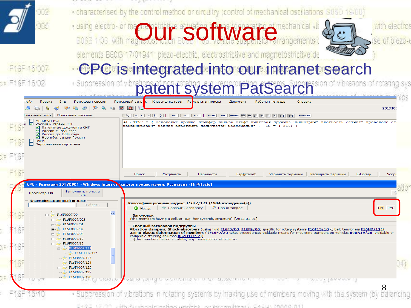|    | 002                                                                                       | . characterised by the control method or circuitry (control of mechanical oscillations G05D 19/00)                                                                                                                                                                |           |
|----|-------------------------------------------------------------------------------------------|-------------------------------------------------------------------------------------------------------------------------------------------------------------------------------------------------------------------------------------------------------------------|-----------|
|    | 005                                                                                       |                                                                                                                                                                                                                                                                   |           |
|    |                                                                                           | <b>EDGE 106 With magic July software</b>                                                                                                                                                                                                                          |           |
|    |                                                                                           |                                                                                                                                                                                                                                                                   |           |
|    |                                                                                           | elements B60G 17/01941 piezo-electric, electrostrictive and magnetostrictive de                                                                                                                                                                                   |           |
|    | F16F 15/007                                                                               | <b><i><b>CPC</b>isintegrated into our intranet search</i></b>                                                                                                                                                                                                     |           |
|    | se F16F 15/02                                                                             |                                                                                                                                                                                                                                                                   |           |
|    |                                                                                           | uppression of vibrations of <b>patent system PatSearch</b> sion of vibrations of                                                                                                                                                                                  |           |
|    | Правка<br>Вид<br>Поисковая сессия<br>⊅айл                                                 | Поисковый запрос<br>Классификаторы Ремультаты поиска<br>Документ<br>Рабочая тетрадь<br>Справка                                                                                                                                                                    |           |
|    | Поисковые массивы<br>оисковые поля                                                        | 201710<br>$\mathbb{R}$ $=$ $ <$ $ >$ $ ($ $ )$ $ $ $ $ and $ $ or $ $ not $ $ within $ $ adj between $ $<br>очистить                                                                                                                                              |           |
|    | Минимум РСТ<br>⊵<br>Россия и страны СНГ<br>Патентные документы СНГ                        | ALL TEXT = ( основание крышка демпфер гильза штифт винтовая пружина цилиндрич* плотность сетчат* проволока ст<br>комбинирован* каркас эластомер полиуретан коаксиальн* ) IC = (F16F)                                                                              |           |
|    | ☑<br>Россия с 1994 года<br>Россия до 1994 года<br>■ Неопубл. заявки России<br><b>DWPI</b> |                                                                                                                                                                                                                                                                   |           |
|    | Персональная картотека                                                                    |                                                                                                                                                                                                                                                                   |           |
|    |                                                                                           |                                                                                                                                                                                                                                                                   |           |
|    |                                                                                           | Поиск<br>Сохранить<br>Перевести<br>Esp@cenet<br>Расширить термины<br>E-Library<br>Уточнить термины                                                                                                                                                                | Scopi     |
|    |                                                                                           | СРС - Редакция 20170801 - Windows Internet Explorer предоставлен: Роспатент - [InPrivate]                                                                                                                                                                         |           |
|    | Выполнить поиск в<br>Просмотр СРС<br><b>CPC</b>                                           |                                                                                                                                                                                                                                                                   |           |
|    | Классификационный индекс<br>Выбрать                                                       | Классификационный индекс: F16F7/121 (1904 вхождение(я))<br><b>2</b> Новый запрос<br>EN PYC<br>₩ Добавить к запросу<br>$\mathbf G$ Hasa $\mathbf a$                                                                                                                |           |
|    | $\hat{\phantom{a}}$<br>F16F0007/00<br>由 F16F0007/003                                      | Заголовок<br>{the members having a cellular, e.g. honeycomb, structure} [2013-01-01]                                                                                                                                                                              |           |
|    | <b>E16F0007/01</b><br>F16F0007/02                                                         | Сводный заголовок подгруппы<br>Vibration-dampers; Shock-absorbers (using fluid <u>F16F5/00, F16F9/00</u> ; specific for rotary systems <u>F16F15/10</u> {; belt tensioners <u>F16H7/12}</u> )                                                                     |           |
|    | F16F0007/08<br>由 F16F0007/10                                                              | using plastic deformation of members { (F16F9/30 takes precedence; yieldable means for mounting bumpers on vehicles B60R19/26; yieldable or.<br>collapsible steering columns B62D1/192)}<br>{the members having a cellular, e.g. honeycomb, structure}            |           |
| 6F | 白 F16F0007/12<br>白 <b>F16F0007/121</b><br>F16F0007/122                                    |                                                                                                                                                                                                                                                                   |           |
|    | F16F0007/123<br>F16F0007/124                                                              |                                                                                                                                                                                                                                                                   | 04)       |
|    | 由 F16F0007/125<br>F16F0007/127                                                            |                                                                                                                                                                                                                                                                   |           |
|    | F16F0007/128                                                                              | in the control of the province of the control of the control of the control of the control of the control of the control of the control of the control of the control of the control of the control of the control of the cont<br><b><i>TANKELAMMANN</i></b><br>8 |           |
|    |                                                                                           | · Suppression of vibrations in rotating systems by making use of members moving with the s                                                                                                                                                                        | balancing |
|    |                                                                                           | EngE (同词) (idite Resolucional modificational conformational) EACはいれれれたのか?                                                                                                                                                                                         |           |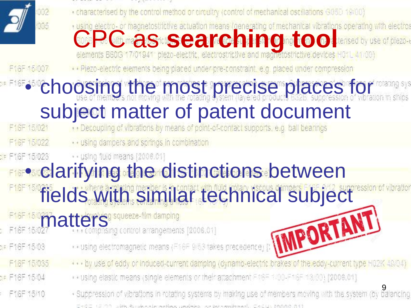

- . characterised by the control method or circuitry (control of mechanical oscillations G05D 19/00)
- **COPPOSITERS** is actuation means *i* denerating of mechanical vibrations operating with electrosed by use of plezo-<br>elements B60G 17/01941 plezo-electric, electrostrictive and magnetostrictive devices H01L 41/00)

· · Piezo-electric elements being placed under pre-constraint, e.g. placed under compression

# F16F **• choosing the most precise places for strangery Subject matter of patent document**

- · · using dampers and springs in combination F16F 15/022
- · · using fluid means [2006.01] SF F16F 15/023

## **FIFP clarifying the distinctions between**

- **fields with similar technical subject** 
	- -
- Die F16F 15/03
- F16F 15/035
- DF F16F 15/04
- F16F 15/10
- 
- F16F 15/027 Computer Strategies (Engineering Control arrangements [2006.01]<br>F16F 15/035 Computer Strategies (E16F 9/53 takes precedence) [: **MMPORTAMIT** ... by use of eddy or induced-current damping (dynamo-electric brakes of the eddy-current type H02K 49/04)
	- . vusing elastic means (single elements or their attachment FASF 1/00-F18F 18/00) [2006.01]
	- Suppression of vibrations in rotating systems by making use of members moving with the system (by balancing EXCE LEOD JAM Repuberations (working was been working and Excellent DAG) (The Color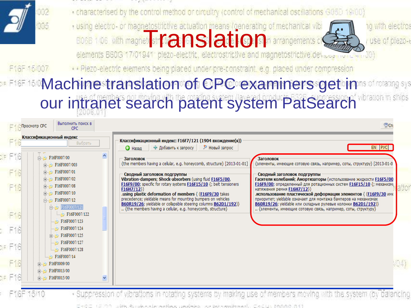

- . characterised by the control method or circultry (control of mechanical oscillations G05D 19/00)
- Fusing electro- or magnetostrictive actuation means (generating of mechanical vib<br>
E06B 1/06 Mth magnet str**ft and Development of the Contract of the Contract of the Contract of the Contract of the Contract of the Contract**



no with electros use of blezo-

. . Piezo-electric elements being placed under pre-constraint, e.g. placed under compression

#### **EXER 150 Machine translation of CPC examiners get in a stranger** our intranet search patent system PatSearch

|                     | Просмотр СРС                           | Выполнить поиск в<br><b>CPC</b>                                                                                           |                                                                                                                                                                                                                                                                                                                                                                                                                                                                                                                                                    |                                                                                                                                                                                                                                                                                                                                                                                                                                |
|---------------------|----------------------------------------|---------------------------------------------------------------------------------------------------------------------------|----------------------------------------------------------------------------------------------------------------------------------------------------------------------------------------------------------------------------------------------------------------------------------------------------------------------------------------------------------------------------------------------------------------------------------------------------------------------------------------------------------------------------------------------------|--------------------------------------------------------------------------------------------------------------------------------------------------------------------------------------------------------------------------------------------------------------------------------------------------------------------------------------------------------------------------------------------------------------------------------|
|                     | Классификационный индекс               | Выбрать                                                                                                                   | Классификационный индекс: F16F7/121 (1904 вхождение(я))<br>- Добавить к запросу<br>Р Новый запрос<br>$\bigodot$ Hasan                                                                                                                                                                                                                                                                                                                                                                                                                              | EN PYC                                                                                                                                                                                                                                                                                                                                                                                                                         |
| F<br>F16<br>F16     | 白 F16F0007/00<br>$\mathbb{H}^n$        | $\rightarrow$ F16F0007/003<br>F16F0007/01<br>F16F0007/02<br>F16F0007/08<br>F16F0007/10<br>白 F16F0007/12<br>白 F16F0007/121 | Заголовок<br>Заголовок<br>{the members having a cellular, e.g. honeycomb, structure} [2013-01-01]<br>Сводный заголовок подгруппы<br>Сводный заголовок подгруппы<br>Vibration-dampers; Shock-absorbers (using fluid <b>F16F5/00</b> ,<br>F16F9/00; specific for rotary systems F16F15/10 {; belt tensioners<br>F16H7/12<br>натяжения ремня F16H7/12})<br>using plastic deformation of members { (F16F9/30 takes<br>precedence; yieldable means for mounting bumpers on vehicles<br>B60R19/26; yieldable or collapsible steering columns B62D1/192)} | {элементы, имеющие сотовую связь, например, соты, структуру} [2013-01-0]<br>Гасители колебаний; Амортизаторы (использование жидкости F16F5/00<br>F16F9/00; определенный для ротационных систем F16F15/10 {; механизми<br>использование пластической деформации элементов { (F16F9/30 име.<br>приоритет; yieldable означает для монтажа бамперов на механизмах<br>B60R19/26; yieldable или складные рулевые колонки B62D1/192)} |
| F16<br>F16<br>r F16 |                                        | F16F0007/122<br>F16F0007/123<br>F16F0007/124<br>中心 F16F0007/125<br>F16F0007/127<br>F16F0007/128<br>F16F0007/14            | {the members having a cellular, e.g. honeycomb, structure}                                                                                                                                                                                                                                                                                                                                                                                                                                                                                         | {элементы, имеющие сотовую связь, например, соты, структуру}                                                                                                                                                                                                                                                                                                                                                                   |
| F16<br>т F18        | $\mathbb{H}$<br>田…<br>中心<br>FISE 15/10 | F16F0009/00<br>F16F0013/00<br>F16F0015/00                                                                                 | Sunnepecing of vibrations in miasing systems by making use of members moving with the system (by halar                                                                                                                                                                                                                                                                                                                                                                                                                                             | VO4)                                                                                                                                                                                                                                                                                                                                                                                                                           |

1000 Rockers | www.46ww.1.seebeles www.behoweriin.com → CAC はいてののので、カイト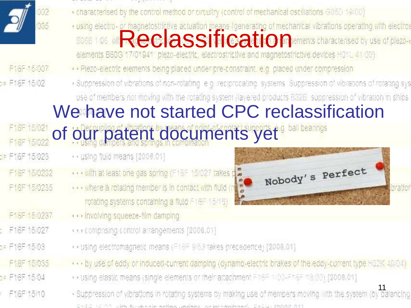

F16F 15/007 DR F16F 15/02

F16F 15/021

F16F 15/022

F16F 15/0232

F16F15/0235

F16F 15/0237

F16F 15/027

DIE F16F 15/03

F16F 15/035

DF F16F 15/04

F16F 15/10

SF F16F 15/023

- . characterised by the control method or circuitry (control of mechanical oscillations G05D 19/00) Filed the Manufacture actuation means (generating of mechanical vibrations operating with electron<br>EDB 1/06 Mineral Records of Discovery of the Contractor of the Contractor of the contractors of plezo-· Plezo-electric elements being placed under pre-constraint, e.g. placed under compression · Suppression of vibrations of non-retating e.g. reciprocating systems. Suppression of vibrations of rotating sys use of members not moving with the rotating system (layered products B32B, suppression of vibration in ships We have not started CPC reclassification of our patent documents yet<sup>s ball bearings</sup> ·· using fluid means [2006.01] Nobody's Perfect ... with at least one gas spring (F16F 15/027 takes p ... where a rotating member is in contact with fluid (he ibration rotating systems containing a fluid F16F 15/16)
	-
	- ... involving squeeze-film damping
	- · · · comprising control arrangements [2006.01]
	- . Using electromagnetic means (F16F 9/53 takes precedence) [2008.01]
	- ... by use of eddy or induced-current damping (dynamo-electric brakes of the eddy-current type H02K-49/04).
	- . Using elastic means (single elements or their attachment FASE 1/00-F16F 18/00) [2006.01].
	- .<br>Suppression of vibrations in rotating systems by making use of members moving with the system (by balancing EXCE (ECO) uite Rookselevedievu veelise vuoteise enteredi Cellu IAAAA A11.

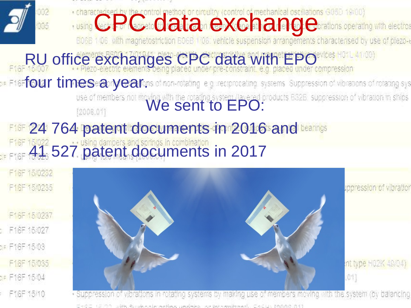

EAGE (EIOO JAN Budendemaken waken en benemberel Celu IAAAA A1)